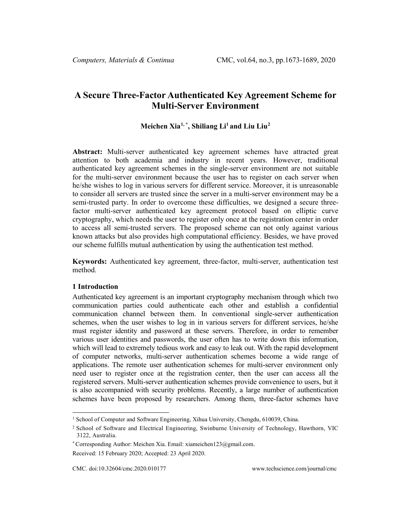# **A Secure Three-Factor Authenticated Key Agreement Scheme for Multi-Server Environment**

# **Meichen Xia[1](#page-0-0), \* , Shiliang Li1 and Liu Liu[2](#page-0-1)**

**Abstract:** Multi-server authenticated key agreement schemes have attracted great attention to both academia and industry in recent years. However, traditional authenticated key agreement schemes in the single-server environment are not suitable for the multi-server environment because the user has to register on each server when he/she wishes to log in various servers for different service. Moreover, it is unreasonable to consider all servers are trusted since the server in a multi-server environment may be a semi-trusted party. In order to overcome these difficulties, we designed a secure threefactor multi-server authenticated key agreement protocol based on elliptic curve cryptography, which needs the user to register only once at the registration center in order to access all semi-trusted servers. The proposed scheme can not only against various known attacks but also provides high computational efficiency. Besides, we have proved our scheme fulfills mutual authentication by using the authentication test method.

**Keywords:** Authenticated key agreement, three-factor, multi-server, authentication test method.

# **1 Introduction**

Authenticated key agreement is an important cryptography mechanism through which two communication parties could authenticate each other and establish a confidential communication channel between them. In conventional single-server authentication schemes, when the user wishes to log in in various servers for different services, he/she must register identity and password at these servers. Therefore, in order to remember various user identities and passwords, the user often has to write down this information, which will lead to extremely tedious work and easy to leak out. With the rapid development of computer networks, multi-server authentication schemes become a wide range of applications. The remote user authentication schemes for multi-server environment only need user to register once at the registration center, then the user can access all the registered servers. Multi-server authentication schemes provide convenience to users, but it is also accompanied with security problems. Recently, a large number of authentication schemes have been proposed by researchers. Among them, three-factor schemes have

<span id="page-0-0"></span><sup>&</sup>lt;sup>1</sup> School of Computer and Software Engineering, Xihua University, Chengdu, 610039, China.

<sup>2</sup> School of Software and Electrical Engineering, Swinburne University of Technology, Hawthorn, VIC 3122, Australia.

<sup>\*</sup> Corresponding Author: Meichen Xia. Email: xiameichen123@gmail.com.

<span id="page-0-1"></span>Received: 15 February 2020; Accepted: 23 April 2020.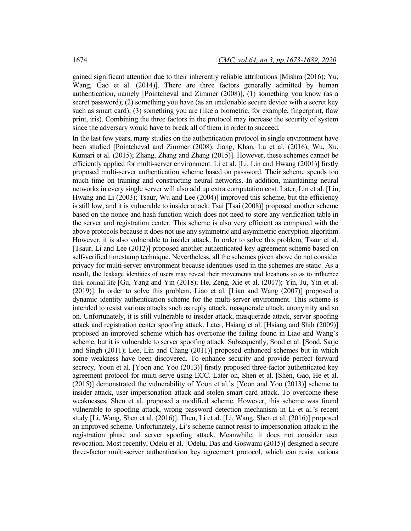gained significant attention due to their inherently reliable attributions [Mishra (2016); Yu, Wang, Gao et al. (2014)]. There are three factors generally admitted by human authentication, namely [Pointcheval and Zimmer (2008)], (1) something you know (as a secret password); (2) something you have (as an unclonable secure device with a secret key such as smart card); (3) something you are (like a biometric, for example, fingerprint, flaw print, iris). Combining the three factors in the protocol may increase the security of system since the adversary would have to break all of them in order to succeed.

In the last few years, many studies on the authentication protocol in single environment have been studied [Pointcheval and Zimmer (2008); Jiang, Khan, Lu et al. (2016); Wu, Xu, Kumari et al. (2015); Zhang, Zhang and Zhang (2015)]. However, these schemes cannot be efficiently applied for multi-server environment. Li et al. [Li, Lin and Hwang (2001)] firstly proposed multi-server authentication scheme based on password. Their scheme spends too much time on training and constructing neural networks. In addition, maintaining neural networks in every single server will also add up extra computation cost. Later, Lin et al. [Lin, Hwang and Li (2003); Tsaur, Wu and Lee (2004)] improved this scheme, but the efficiency is still low, and it is vulnerable to insider attack. Tsai [Tsai (2008)] proposed another scheme based on the nonce and hash function which does not need to store any verification table in the server and registration center. This scheme is also very efficient as compared with the above protocols because it does not use any symmetric and asymmetric encryption algorithm. However, it is also vulnerable to insider attack. In order to solve this problem, Tsaur et al. [Tsaur, Li and Lee (2012)] proposed another authenticated key agreement scheme based on self-verified timestamp technique. Nevertheless, all the schemes given above do not consider privacy for multi-server environment because identities used in the schemes are static. As a result, the leakage identities of users may reveal their movements and locations so as to influence their normal life [Gu, Yang and Yin (2018); He, Zeng, Xie et al. (2017); Yin, Ju, Yin et al. (2019)]. In order to solve this problem, Liao et al. [Liao and Wang (2007)] proposed a dynamic identity authentication scheme for the multi-server environment. This scheme is intended to resist various attacks such as reply attack, masquerade attack, anonymity and so on. Unfortunately, it is still vulnerable to insider attack, masquerade attack, server spoofing attack and registration center spoofing attack. Later, Hsiang et al. [Hsiang and Shih (2009)] proposed an improved scheme which has overcome the failing found in Liao and Wang's scheme, but it is vulnerable to server spoofing attack. Subsequently, Sood et al. [Sood, Sarje and Singh (2011); Lee, Lin and Chang (2011)] proposed enhanced schemes but in which some weakness have been discovered. To enhance security and provide perfect forward secrecy, Yoon et al. [Yoon and Yoo (2013)] firstly proposed three-factor authenticated key agreement protocol for multi-serve using ECC. Later on, Shen et al. [Shen, Gao, He et al. (2015)] demonstrated the vulnerability of Yoon et al.'s [Yoon and Yoo (2013)] scheme to insider attack, user impersonation attack and stolen smart card attack. To overcome these weaknesses, Shen et al. proposed a modified scheme. However, this scheme was found vulnerable to spoofing attack, wrong password detection mechanism in Li et al.'s recent study [Li, Wang, Shen et al. (2016)]. Then, Li et al. [Li, Wang, Shen et al. (2016)] proposed an improved scheme. Unfortunately, Li's scheme cannot resist to impersonation attack in the registration phase and server spoofing attack. Meanwhile, it does not consider user revocation. Most recently, Odelu et al. [Odelu, Das and Goswami (2015)] designed a secure three-factor multi-server authentication key agreement protocol, which can resist various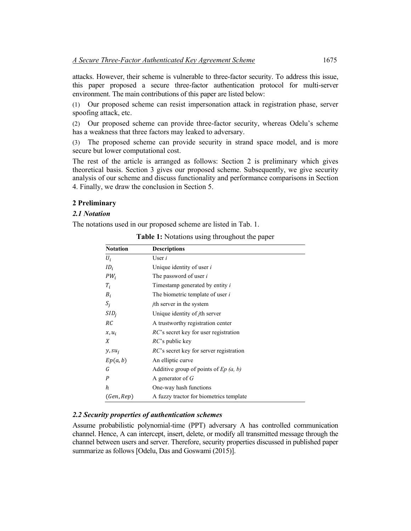attacks. However, their scheme is vulnerable to three-factor security. To address this issue, this paper proposed a secure three-factor authentication protocol for multi-server environment. The main contributions of this paper are listed below:

(1) Our proposed scheme can resist impersonation attack in registration phase, server spoofing attack, etc.

(2) Our proposed scheme can provide three-factor security, whereas Odelu's scheme has a weakness that three factors may leaked to adversary.

(3) The proposed scheme can provide security in strand space model, and is more secure but lower computational cost.

The rest of the article is arranged as follows: Section 2 is preliminary which gives theoretical basis. Section 3 gives our proposed scheme. Subsequently, we give security analysis of our scheme and discuss functionality and performance comparisons in Section 4. Finally, we draw the conclusion in Section 5.

# **2 Preliminary**

# *2.1 Notation*

The notations used in our proposed scheme are listed in Tab. 1.

| <b>Notation</b> | <b>Descriptions</b>                             |
|-----------------|-------------------------------------------------|
| $U_i$           | User $i$                                        |
| $ID_i$          | Unique identity of user <i>i</i>                |
| $PW_i$          | The password of user i                          |
| $T_i$           | Timestamp generated by entity i                 |
| $B_i$           | The biometric template of user $i$              |
| $S_i$           | <i>i</i> th server in the system                |
| $SID_i$         | Unique identity of <i>j</i> th server           |
| RC              | A trustworthy registration center               |
| $x, u_i$        | $RC$ 's secret key for user registration        |
| X               | $RC$ 's public key                              |
| $y, su_i$       | <i>RC</i> 's secret key for server registration |
| Ep(a,b)         | An elliptic curve                               |
| G               | Additive group of points of $Ep(a, b)$          |
| P               | A generator of $G$                              |
| h.              | One-way hash functions                          |
| (Gen, Rep)      | A fuzzy tractor for biometrics template         |

**Table 1:** Notations using throughout the paper

# *2.2 Security properties of authentication schemes*

Assume probabilistic polynomial-time (PPT) adversary A has controlled communication channel. Hence, A can intercept, insert, delete, or modify all transmitted message through the channel between users and server. Therefore, security properties discussed in published paper summarize as follows [Odelu, Das and Goswami (2015)].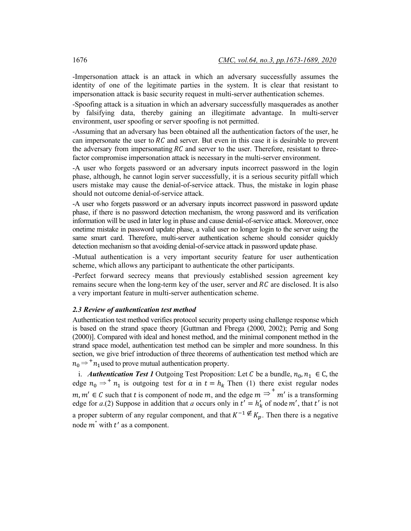-Impersonation attack is an attack in which an adversary successfully assumes the identity of one of the legitimate parties in the system. It is clear that resistant to impersonation attack is basic security request in multi-server authentication schemes.

-Spoofing attack is a situation in which an adversary successfully masquerades as another by falsifying data, thereby gaining an illegitimate advantage. In multi-server environment, user spoofing or server spoofing is not permitted.

-Assuming that an adversary has been obtained all the authentication factors of the user, he can impersonate the user to  $RC$  and server. But even in this case it is desirable to prevent the adversary from impersonating  $RC$  and server to the user. Therefore, resistant to threefactor compromise impersonation attack is necessary in the multi-server environment.

-A user who forgets password or an adversary inputs incorrect password in the login phase, although, he cannot login server successfully, it is a serious security pitfall which users mistake may cause the denial-of-service attack. Thus, the mistake in login phase should not outcome denial-of-service attack.

-A user who forgets password or an adversary inputs incorrect password in password update phase, if there is no password detection mechanism, the wrong password and its verification information will be used in later log in phase and cause denial-of-service attack. Moreover, once onetime mistake in password update phase, a valid user no longer login to the server using the same smart card. Therefore, multi-server authentication scheme should consider quickly detection mechanism so that avoiding denial-of-service attack in password update phase.

-Mutual authentication is a very important security feature for user authentication scheme, which allows any participant to authenticate the other participants.

-Perfect forward secrecy means that previously established session agreement key remains secure when the long-term key of the user, server and  $RC$  are disclosed. It is also a very important feature in multi-server authentication scheme.

# *2.3 Review of authentication test method*

Authentication test method verifies protocol security property using challenge response which is based on the strand space theory [Guttman and Fbrega (2000, 2002); Perrig and Song (2000)]. Compared with ideal and honest method, and the minimal component method in the strand space model, authentication test method can be simpler and more soundness. In this section, we give brief introduction of three theorems of authentication test method which are  $_0 \Rightarrow^+ n_1$  used to prove mutual authentication property.

i. *Authentication Test 1* Outgoing Test Proposition: Let C be a bundle,  $n_0, n_1 \in C$ , the edge  $n_0 \Rightarrow^+ n_1$  is outgoing test for a in  $t = h_k$  Then (1) there exist regular nodes  $m, m' \in \mathcal{C}$  such that t is component of node m, and the edge  $m \stackrel{\text{def}}{\Rightarrow} m'$  is a transforming edge for *a*.(2) Suppose in addition that *a* occurs only in  $t' = h'_k$  of node m', that  $t'$  is not a proper subterm of any regular component, and that  $K^{-1} \notin K_n$ . Then there is a negative node  $m^{\dagger}$  with  $t'$  as a component.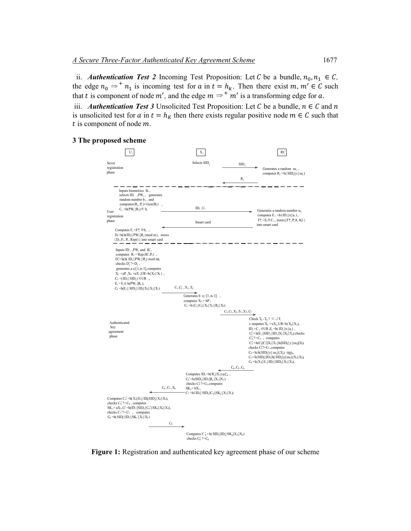ii. *Authentication Test 2* Incoming Test Proposition: Let C be a bundle,  $n_0, n_1 \in C$ , the edge  $n_0 \Rightarrow^+ n_1$  is incoming test for  $a$  in  $t = h_k$ . Then there exist  $m, m' \in C$  such that *t* is component of node  $m'$ , and the edge  $m \Rightarrow^+ m'$  is a transforming edge for *a*.

iii. *Authentication Test 3* Unsolicited Test Proposition: Let C be a bundle,  $n \in \mathbb{C}$  and n is unsolicited test for a in  $t = h_K$  then there exists regular positive node  $m \in \mathcal{C}$  such that  $t$  is component of node  $m$ .

#### **3 The proposed scheme**



**Figure 1:** Registration and authenticated key agreement phase of our scheme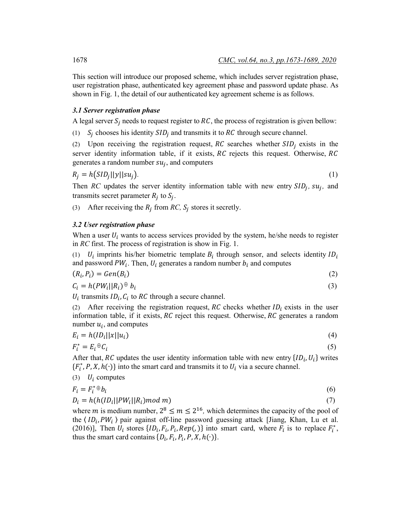This section will introduce our proposed scheme, which includes server registration phase, user registration phase, authenticated key agreement phase and password update phase. As shown in Fig. 1, the detail of our authenticated key agreement scheme is as follows.

# *3.1 Server registration phase*

A legal server  $S_i$  needs to request register to  $RC$ , the process of registration is given bellow:

(1)  $S_i$  chooses his identity  $SID_i$  and transmits it to RC through secure channel.

(2) Upon receiving the registration request,  $RC$  searches whether  $SID<sub>i</sub>$  exists in the server identity information table, if it exists,  $RC$  rejects this request. Otherwise,  $RC$ generates a random number  $su_i$ , and computers

$$
R_j = h(SID_j||y||su_j). \tag{1}
$$

Then *RC* updates the server identity information table with new entry  $SID_i$ ,  $su_i$ , and transmits secret parameter  $R_i$  to  $S_i$ .

(3) After receiving the  $R_i$  from  $RC$ ,  $S_i$  stores it secretly.

# *3.2 User registration phase*

When a user  $U_i$  wants to access services provided by the system, he/she needs to register in *RC* first. The process of registration is show in Fig. 1.

(1)  $U_i$  imprints his/her biometric template  $B_i$  through sensor, and selects identity  $ID_i$ and password  $PW_i$ . Then,  $U_i$  generates a random number  $b_i$  and computes

$$
(R_i, P_i) = Gen(B_i) \tag{2}
$$

$$
C_i = h(PW_i||R_i) \oplus b_i \tag{3}
$$

 $U_i$  transmits  $ID_i$ ,  $C_i$  to RC through a secure channel.

(2) After receiving the registration request, RC checks whether  $ID_i$  exists in the user information table, if it exists,  $RC$  reject this request. Otherwise,  $RC$  generates a random number  $u_i$ , and computes

$$
E_i = h(ID_i ||x||u_i)
$$
\n<sup>(4)</sup>

$$
F_i^* = E_i \oplus C_i \tag{5}
$$

After that, RC updates the user identity information table with new entry  $\{ID_i, U_i\}$  writes  ${F_i^*, P, X, h(\cdot)}$  into the smart card and transmits it to  $U_i$  via a secure channel.

$$
(3) \quad U_i \text{ computes}
$$

$$
F_i = F_i^* \oplus b_i \tag{6}
$$

$$
D_i = h(h(ID_i || PW_i || R_i) mod m)
$$
\n<sup>(7)</sup>

where *m* is medium number,  $2^8 \le m \le 2^{16}$ , which determines the capacity of the pool of the  $\langle ID_i, PW_i \rangle$  pair against off-line password guessing attack [Jiang, Khan, Lu et al. (2016)], Then  $U_i$  stores  $\{ID_i, F_i, P_i, Rep(\cdot)\}\$  into smart card, where  $F_i$  is to replace  $F_i^*$ , thus the smart card contains  $\{D_i, F_i, P_i, P, X, h(\cdot)\}.$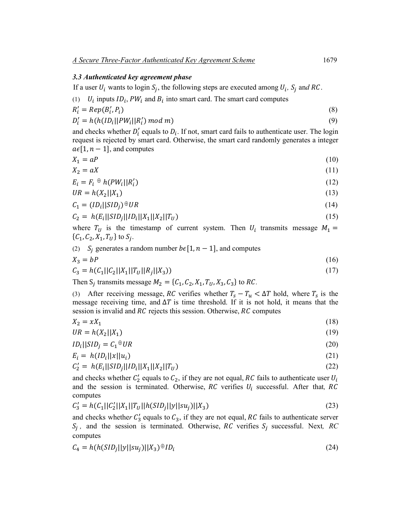#### *3.3 Authenticated key agreement phase*

If a user  $U_i$  wants to login  $S_j$ , the following steps are executed among  $U_i$ ,  $S_j$  and RC.

(1) 
$$
U_i
$$
 inputs  $ID_i$ ,  $PW_i$  and  $B_i$  into smart card. The smart card computes

$$
R'_i = Rep(B'_i, P_i) \tag{8}
$$

$$
D'_{i} = h(h(ID_{i}||PW_{i}||R'_{i}) \mod m)
$$
\n(9)

and checks whether  $D'_i$  equals to  $D_i$ . If not, smart card fails to authenticate user. The login request is rejected by smart card. Otherwise, the smart card randomly generates a integer  $a \in [1, n - 1]$ , and computes

$$
X_1 = aP \tag{10}
$$

$$
X_2 = aX \tag{11}
$$

$$
E_i = F_i \oplus h(PW_i||R'_i) \tag{12}
$$

$$
UR = h(X_2||X_1) \tag{13}
$$

$$
C_1 = (ID_i||SID_j)^{\oplus} UR \tag{14}
$$

$$
C_2 = h(E_i||SID_j||ID_i||X_1||X_2||T_U)
$$
\n(15)

where  $T_U$  is the timestamp of current system. Then  $U_i$  transmits message  $M_1 =$  $\{C_1, C_2, X_1, T_U\}$  to  $S_i$ .

(2) 
$$
S_j
$$
 generates a random number  $b \in [1, n-1]$ , and computes

$$
X_3 = bP \tag{16}
$$

$$
C_3 = h(C_1||C_2||X_1||T_U||R_j||X_3))
$$
\n(17)

Then S<sub>i</sub> transmits message  $M_2 = \{C_1, C_2, X_1, T_U, X_3, C_3\}$  to *RC*.

(3) After receiving message, RC verifies whether  $T_s - T_u < \Delta T$  hold, where  $T_s$  is the message receiving time, and  $\Delta T$  is time threshold. If it is not hold, it means that the session is invalid and  $RC$  rejects this session. Otherwise,  $RC$  computes

$$
X_2 = xX_1 \tag{18}
$$

$$
UR = h(X_2||X_1) \tag{19}
$$

$$
IDi||SIDj = C1 \oplus UR
$$
\n(20)

$$
E_i = h(ID_i ||x||u_i)
$$
\n(21)

$$
C_2' = h(E_i||SID_j||ID_i||X_1||X_2||T_U)
$$
\n(22)

and checks whether  $C_2$  equals to  $C_2$ , if they are not equal, RC fails to authenticate user  $U_i$ and the session is terminated. Otherwise,  $RC$  verifies  $U_i$  successful. After that,  $RC$ computes

$$
C_3' = h(C_1||C_2'||X_1||T_U||h(SID_j||y||su_j)||X_3)
$$
\n(23)

and checks whether  $C_3'$  equals to  $C_3$ , if they are not equal, RC fails to authenticate server  $S_i$ , and the session is terminated. Otherwise, RC verifies  $S_i$  successful. Next, RC computes

$$
C_4 = h(h(SID_j||y||su_j)||X_3)^{\oplus}ID_i
$$
\n
$$
(24)
$$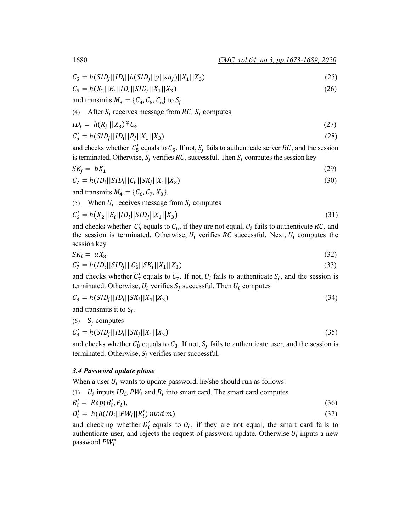$$
C_5 = h(SID_j||ID_i||h(SID_j||y||su_j)||X_1||X_3)
$$
\n(25)

$$
C_6 = h(X_2||E_i||ID_i||SID_j||X_1||X_3)
$$
\n(26)

and transmits 
$$
M_3 = \{C_4, C_5, C_6\}
$$
 to  $S_j$ .

(4) After  $S_i$  receives message from  $RC$ ,  $S_i$  computes

$$
ID_i = h(R_j \mid |X_3) \oplus C_4 \tag{27}
$$

$$
C_5' = h(SID_j||ID_i||R_j||X_1||X_3)
$$
\n(28)

and checks whether  $C'_5$  equals to  $C_5$ . If not,  $S_j$  fails to authenticate server RC, and the session is terminated. Otherwise,  $S_j$  verifies RC, successful. Then  $S_j$  computes the session key

$$
SK_j = bX_1 \tag{29}
$$

$$
C_7 = h(ID_i || SID_j ||C_6||SK_j ||X_1||X_3)
$$
\n(30)

and transmits  $M_4 = \{C_6, C_7, X_3\}.$ 

(5) When  $U_i$  receives message from  $S_i$  computes

$$
C'_6 = h(X_2||E_i||ID_i||SID_j||X_1||X_3)
$$
\n(31)

and checks whether  $C'_6$  equals to  $C_6$ , if they are not equal,  $U_i$  fails to authenticate  $RC$ , and the session is terminated. Otherwise,  $U_i$  verifies RC successful. Next,  $U_i$  computes the session key

$$
SK_i = aX_3 \tag{32}
$$

$$
C_7' = h(ID_i || SID_j || C_6' ||SK_i || X_1 || X_3)
$$
\n(33)

and checks whether  $C_7$  equals to  $C_7$ . If not,  $U_i$  fails to authenticate  $S_j$ , and the session is terminated. Otherwise,  $U_i$  verifies  $S_j$  successful. Then  $U_i$  computes

$$
C_8 = h(SID_j||ID_i||SK_i||X_1||X_3)
$$
\n(34)

and transmits it to  $S_i$ .

$$
(6) S_j computes
$$

 $S'_8 = h(SID_j||ID_i||SK_j||X_1||X_3)$  (35)

and checks whether  $C'_8$  equals to  $C_8$ . If not,  $S_j$  fails to authenticate user, and the session is terminated. Otherwise,  $S_i$  verifies user successful.

# *3.4 Password update phase*

When a user  $U_i$  wants to update password, he/she should run as follows:

(1)  $U_i$  inputs  $ID_i$ ,  $PW_i$  and  $B_i$  into smart card. The smart card computes

$$
R'_i = Rep(B'_i, P_i),\tag{36}
$$

$$
D'_i = h(h(ID_i || PW_i || R'_i) mod m)
$$
\n(37)

and checking whether  $D'_i$  equals to  $D_i$ , if they are not equal, the smart card fails to authenticate user, and rejects the request of password update. Otherwise  $U_i$  inputs a new password  $PW_i^*$ .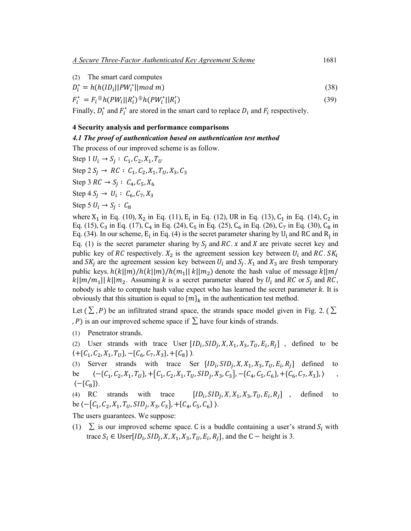(2) The smart card computes

$$
D_i^* = h(h(ID_i || PW_i^* || mod m)
$$
\n<sup>(38)</sup>

$$
F_i^* = F_i \oplus h(PW_i||R_i') \oplus h(PW_i^*||R_i') \tag{39}
$$

Finally,  $D_i^*$  and  $F_i^*$  are stored in the smart card to replace  $D_i$  and  $F_i$  respectively.

### **4 Security analysis and performance comparisons**

## *4.1 The proof of authentication based on authentication test method*

The process of our improved scheme is as follow.

Step 1  $U_i \rightarrow S_i : C_1, C_2, X_1, T_U$ 

Step 2  $S_i \rightarrow RC : C_1, C_2, X_1, T_{II}, X_3, C_3$ 

Step 3 RC  $\to S_i : C_4, C_5, X_6$ 

Step 4  $S_i \to U_i : C_6, C_7, X_3$ 

Step 5  $U_i \rightarrow S_i : C_8$ 

where  $X_1$  in Eq. (10),  $X_2$  in Eq. (11),  $E_i$  in Eq. (12), UR in Eq. (13),  $C_1$  in Eq. (14),  $C_2$  in Eq. (15), C<sub>3</sub> in Eq. (17), C<sub>4</sub> in Eq. (24), C<sub>5</sub> in Eq. (25), C<sub>6</sub> in Eq. (26), C<sub>7</sub> in Eq. (30), C<sub>8</sub> in Eq. (34). In our scheme,  $E_i$  in Eq. (4) is the secret parameter sharing by  $U_i$  and RC and R<sub>i</sub> in Eq. (1) is the secret parameter sharing by  $S_i$  and RC. x and X are private secret key and public key of RC respectively.  $X_2$  is the agreement session key between  $U_i$  and RC. S $K_i$ and  $SK_i$  are the agreement session key between  $U_i$  and  $S_i$ .  $X_1$  and  $X_3$  are fresh temporary public keys.  $h(k||m)/h(k||m)/h(m_1||k||m_2)$  denote the hash value of message  $k||m/$  $|k||m/m_1|| k||m_2$ . Assuming k is a secret parameter shared by  $U_i$  and RC or  $S_i$  and RC, nobody is able to compute hash value expect who has learned the secret parameter  $k$ . It is obviously that this situation is equal to  ${m}_{k}$  in the authentication test method.

Let  $(\Sigma, P)$  be an infiltrated strand space, the strands space model given in Fig. 2. ( $\Sigma$ , P) is an our improved scheme space if  $\Sigma$  have four kinds of strands.

(1) Penetrator strands.

(2) User strands with trace User  $[ID_i, SID_j, X, X_1, X_3, T_U, E_i, R_i]$ , defined to be  $\langle +\{C_1, C_2, X_1, T_U\}, -\{C_6, C_7, X_3\}, +\{C_8\} \rangle.$ 

(3) Server strands with trace Ser  $[ID_i, SID_j, X, X_1, X_3, T_U, E_i, R_j]$  defined to be 〈−{ <sup>1</sup>, <sup>2</sup>,1, }, +� <sup>1</sup>, <sup>2</sup>,1, , , 3, 3�, −{ <sup>4</sup>, <sup>5</sup>, <sup>6</sup>}, +{ <sup>6</sup>, <sup>7</sup>,3},〉 ,

$$
0e \quad (-\{c_1, c_2, x_1, t_{U}\}, +\{c_1, c_2, x_1, t_{U}, S_{1}D_{j}, x_3, c_3\}, -\{c_4, c_5, c_6\}, +\{c_6, c_7, x_3\}, )
$$

(4) RC strands with trace  $[ID_i, SID_j, X, X_1, X_3, T_U, E_i, R_i]$ , defined to be  $\langle -\{C_1, C_2, X_1, T_U, SID_j, X_3, C_3\}, +\{C_4, C_5, C_6\} \rangle.$ 

The users guarantees. We suppose:

(1)  $\Sigma$  is our improved scheme space. C is a buddle containing a user's strand  $S_i$  with trace  $S_i \in \text{User}[ID_i, SID_j, X, X_1, X_3, T_U, E_i, R_j]$ , and the C – height is 3.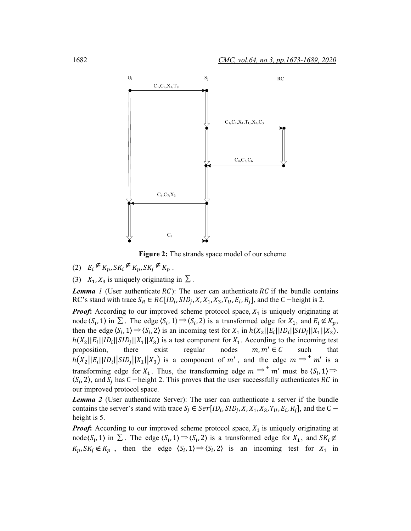

**Figure 2:** The strands space model of our scheme

- (2)  $E_i \nsubseteq K_p, SK_i \nsubseteq K_p, SK_j \nsubseteq K_p$ .
- (3)  $X_1, X_3$  is uniquely originating in  $\Sigma$ .

*Lemma 1* (User authenticate  $RC$ ): The user can authenticate  $RC$  if the bundle contains RC's stand with trace  $S_R \in RC[ID_i, SID_j, X, X_1, X_3, T_U, E_i, R_j]$ , and the C –height is 2.

*Proof***:** According to our improved scheme protocol space,  $X_1$  is uniquely originating at node  $\langle S_i, 1 \rangle$  in  $\Sigma$ . The edge  $\langle S_i, 1 \rangle \Rightarrow \langle S_i, 2 \rangle$  is a transformed edge for  $X_1$ , and  $E_i \notin K_p$ , then the edge  $\langle S_i, 1 \rangle \Rightarrow \langle S_i, 2 \rangle$  is an incoming test for  $X_1$  in  $h(X_2||E_i||ID_i||SID_j||X_1||X_2)$ .  $h(X_2||E_i||ID_i||SID_j||X_1||X_3)$  is a test component for  $X_1$ . According to the incoming test proposition, there exist regular nodes  $m, m' \in C$  such that proposition, there exist regular nodes  $m, m' \in C$  such that  $h(X_2||E_i||ID_i||SID_j||X_1||X_3)$  is a component of m', and the edge  $m \Rightarrow^+ m'$  is a transforming edge for  $X_1$ . Thus, the transforming edge  $m \Rightarrow^+ m'$  must be  $\langle S_i, 1 \rangle \Rightarrow$  $\langle S_i, 2 \rangle$ , and  $S_i$  has C –height 2. This proves that the user successfully authenticates RC in our improved protocol space.

*Lemma 2* (User authenticate Server): The user can authenticate a server if the bundle contains the server's stand with trace  $S_j \in Ser[ID_i, SID_j, X, X_1, X_3, T_U, E_i, R_j]$ , and the C – height is 5.

*Proof***:** According to our improved scheme protocol space,  $X_1$  is uniquely originating at node $\langle S_i, 1 \rangle$  in  $\Sigma$ . The edge  $\langle S_i, 1 \rangle \Rightarrow \langle S_i, 2 \rangle$  is a transformed edge for  $X_1$ , and  $SK_i \notin \mathbb{R}$  $K_p, SK_j \notin K_p$ , then the edge  $\langle S_i, 1 \rangle \Rightarrow \langle S_i, 2 \rangle$  is an incoming test for  $X_1$  in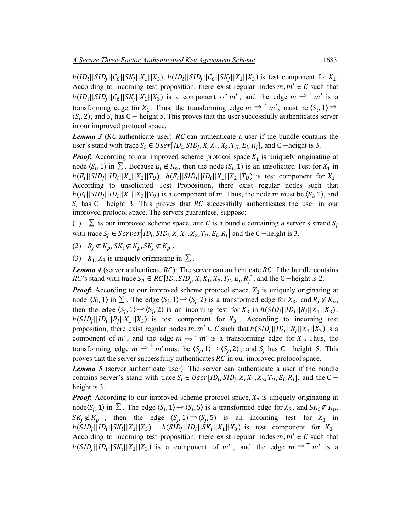$h(ID_i|| SID_j||C_6||SK_i||X_1||X_3)$ .  $h(ID_i||SID_j||C_6||SK_i||X_1||X_3)$  is test component for  $X_1$ . According to incoming test proposition, there exist regular nodes  $m, m' \in C$  such that  $h(ID_i||SID_j||C_6||SK_j||X_1||X_3)$  is a component of m', and the edge  $m \Rightarrow^+ m'$  is a transforming edge for  $X_1$ . Thus, the transforming edge  $m \Rightarrow^+ m'$ , must be  $\langle S_i, 1 \rangle \Rightarrow$  $\langle S_i, 2 \rangle$ , and  $S_j$  has C – height 5. This proves that the user successfully authenticates server in our improved protocol space.

*Lemma 3 (RC* authenticate user):  $RC$  can authenticate a user if the bundle contains the user's stand with trace  $S_i \in User[ID_i, SID_j, X, X_1, X_3, T_U, E_i, R_j]$ , and C –height is 3.

*Proof***:** According to our improved scheme protocol space  $X_1$  is uniquely originating at node  $\langle S_i, 1 \rangle$  in  $\Sigma$ . Because  $E_i \notin K_p$ , then the node  $\langle S_i, 1 \rangle$  is an unsolicited Test for  $X_1$  in  $h(E_i||SID_i||ID_i||X_1||X_2||T_U)$ .  $h(E_i||SID_i||ID_i||X_1||X_2||T_U)$  is test component for  $X_1$ . According to unsolicited Test Proposition, there exist regular nodes such that  $h(E_i||SID_j||ID_i||X_1||X_2||T_U)$  is a component of m. Thus, the node m must be  $\langle S_i, 1 \rangle$ , and  $S_i$  has C − height 3. This proves that RC successfully authenticates the user in our improved protocol space. The servers guarantees, suppose:

(1)  $\Sigma$  is our improved scheme space, and C is a bundle containing a server's strand  $S_j$ with trace  $S_i \in Server[ID_i, SID_j, X, X_1, X_3, T_U, E_i, R_j]$  and the C –height is 3.

(2)  $R_i \notin K_p$ ,  $SK_i \notin K_p$ ,  $SK_j \notin K_p$ .

(3)  $X_1, X_3$  is uniquely originating in  $\Sigma$ .

*Lemma 4* (server authenticate  $RC$ ): The server can authenticate  $RC$  if the bundle contains *RC*'s stand with trace  $S_R \in RC[ID_i, SID_j, X, X_1, X_3, T_U, E_i, R_j]$ , and the C –height is 2.

*Proof***:** According to our improved scheme protocol space,  $X_3$  is uniquely originating at node  $\langle S_i, 1 \rangle$  in  $\Sigma$ . The edge  $\langle S_j, 1 \rangle \Rightarrow \langle S_j, 2 \rangle$  is a transformed edge for  $X_3$ , and  $R_j \notin K_p$ , then the edge  $\langle S_j, 1 \rangle \Rightarrow \langle S_j, 2 \rangle$  is an incoming test for  $X_3$  in  $h(SID_j||ID_i||R_j||X_1||X_3)$ .  $h(SID<sub>i</sub>||ID<sub>i</sub>||R<sub>i</sub>||X<sub>1</sub>||X<sub>3</sub>)$  is test component for  $X<sub>3</sub>$ . According to incoming test proposition, there exist regular nodes  $m, m' \in C$  such that  $h(SID_i||ID_i||R_i||X_1||X_2)$  is a component of m', and the edge  $m \Rightarrow^+ m'$  is a transforming edge for  $X_1$ . Thus, the transforming edge  $m \Rightarrow^+ m'$  must be  $\langle S_j, 1 \rangle \Rightarrow \langle S_j, 2 \rangle$ , and  $S_j$  has C – height 5. This proves that the server successfully authenticates  $RC$  in our improved protocol space.

*Lemma 5* (server authenticate user): The server can authenticate a user if the bundle contains server's stand with trace  $S_i \in User[ID_i, SID_j, X, X_1, X_3, T_U, E_i, R_i]$ , and the C – height is 3.

*Proof***:** According to our improved scheme protocol space,  $X_3$  is uniquely originating at node $\langle S_j, 1 \rangle$  in  $\Sigma$ . The edge  $\langle S_j, 1 \rangle \Rightarrow \langle S_j, 5 \rangle$  is a transformed edge for  $X_3$ , and  $SK_i \notin K_p$ ,  $SK_j \notin K_p$ , then the edge  $\langle S_j, 1 \rangle \Rightarrow \langle S_j, 5 \rangle$  is an incoming test for  $X_3$  in  $h(SID_j||ID_i||SK_i||X_1||X_3)$  .  $h(SID_j||ID_i||SK_i||X_1||X_3)$  is test component for  $X_3$ . According to incoming test proposition, there exist regular nodes  $m, m' \in C$  such that  $h(SID_j||ID_i||SK_i||X_1||X_3)$  is a component of m', and the edge  $m \Rightarrow^+ m'$  is a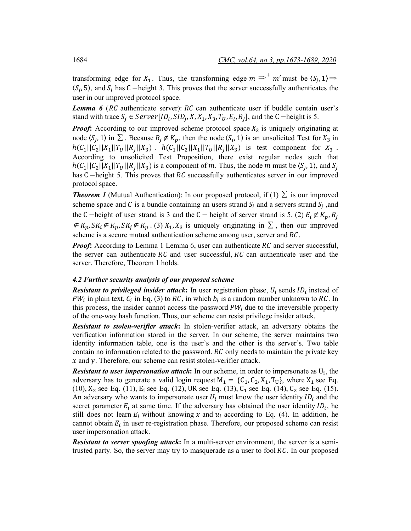transforming edge for  $X_1$ . Thus, the transforming edge  $m \Rightarrow^+ m'$  must be  $\langle S_j, 1 \rangle \Rightarrow$  $\langle S_i, 5 \rangle$ , and  $S_i$  has C –height 3. This proves that the server successfully authenticates the user in our improved protocol space.

**Lemma 6** (RC authenticate server): RC can authenticate user if buddle contain user's stand with trace  $S_i \in Server[ID_i, SID_j, X, X_1, X_3, T_U, E_i, R_j]$ , and the C –height is 5.

*Proof***:** According to our improved scheme protocol space  $X_3$  is uniquely originating at node  $\langle S_j, 1 \rangle$  in  $\Sigma$ . Because  $R_j \notin K_p$ , then the node  $\langle S_i, 1 \rangle$  is an unsolicited Test for  $X_3$  in  $h(C_1||C_2||X_1||T_U||R_i||X_3)$ .  $h(C_1||C_2||X_1||T_U||R_i||X_3)$  is test component for  $X_3$ . According to unsolicited Test Proposition, there exist regular nodes such that  $h(C_1||C_2||X_1||T_U||R_i||X_3)$  is a component of m. Thus, the node m must be  $\langle S_i, 1 \rangle$ , and  $S_i$ has C  $-$ height 5. This proves that  $RC$  successfully authenticates server in our improved protocol space.

*Theorem 1* (Mutual Authentication): In our proposed protocol, if (1)  $\Sigma$  is our improved scheme space and C is a bundle containing an users strand  $S_i$  and a servers strand  $S_i$ , and the C −height of user strand is 3 and the C − height of server strand is 5. (2)  $E_i \notin K_p$ ,  $R_i$ ∉  $K_p$ ,  $SK_i$  ∉  $K_p$ ,  $SK_j$  ∉  $K_p$ . (3)  $X_1$ ,  $X_3$  is uniquely originating in  $\Sigma$ , then our improved scheme is a secure mutual authentication scheme among user, server and  $RC$ .

*Proof*: According to Lemma 1 Lemma 6, user can authenticate RC and server successful, the server can authenticate  $RC$  and user successful,  $RC$  can authenticate user and the server. Therefore, Theorem 1 holds.

#### *4.2 Further security analysis of our proposed scheme*

**Resistant to privileged insider attack:** In user registration phase,  $U_i$  sends  $ID_i$  instead of  $PW_i$  in plain text,  $C_i$  in Eq. (3) to RC, in which  $b_i$  is a random number unknown to RC. In this process, the insider cannot access the password  $PW_i$  due to the irreversible property of the one-way hash function. Thus, our scheme can resist privilege insider attack.

*Resistant to stolen-verifier attack***:** In stolen-verifier attack, an adversary obtains the verification information stored in the server. In our scheme, the server maintains two identity information table, one is the user's and the other is the server's. Two table contain no information related to the password.  $RC$  only needs to maintain the private key  $x$  and  $y$ . Therefore, our scheme can resist stolen-verifier attack.

*Resistant to user impersonation attack*: In our scheme, in order to impersonate as U<sub>i</sub>, the adversary has to generate a valid login request  $M_1 = \{C_1, C_2, X_1, T_U\}$ , where  $X_1$  see Eq. (10),  $X_2$  see Eq. (11), E<sub>i</sub> see Eq. (12), UR see Eq. (13), C<sub>1</sub> see Eq. (14), C<sub>2</sub> see Eq. (15). An adversary who wants to impersonate user  $U_i$  must know the user identity  $ID_i$  and the secret parameter  $E_i$  at same time. If the adversary has obtained the user identity  $ID_i$ , he still does not learn  $E_i$  without knowing x and  $u_i$  according to Eq. (4). In addition, he cannot obtain  $E_i$  in user re-registration phase. Therefore, our proposed scheme can resist user impersonation attack.

*Resistant to server spoofing attack***:** In a multi-server environment, the server is a semitrusted party. So, the server may try to masquerade as a user to fool  $RC$ . In our proposed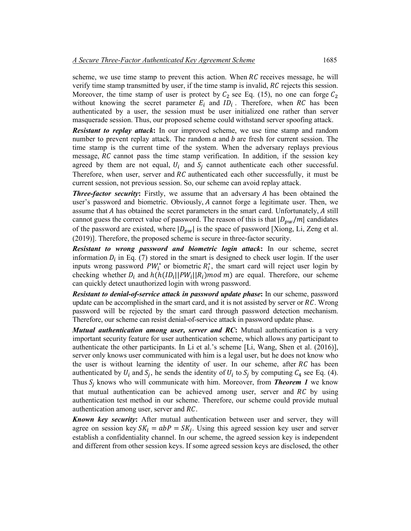scheme, we use time stamp to prevent this action. When  $RC$  receives message, he will verify time stamp transmitted by user, if the time stamp is invalid,  $RC$  rejects this session. Moreover, the time stamp of user is protect by  $C_2$  see Eq. (15), no one can forge  $C_2$ without knowing the secret parameter  $E_i$  and  $ID_i$ . Therefore, when RC has been authenticated by a user, the session must be user initialized one rather than server masquerade session. Thus, our proposed scheme could withstand server spoofing attack.

*Resistant to replay attack***:** In our improved scheme, we use time stamp and random number to prevent replay attack. The random  $a$  and  $b$  are fresh for current session. The time stamp is the current time of the system. When the adversary replays previous message,  $RC$  cannot pass the time stamp verification. In addition, if the session key agreed by them are not equal,  $U_i$  and  $S_i$  cannot authenticate each other successful. Therefore, when user, server and  $RC$  authenticated each other successfully, it must be current session, not previous session. So, our scheme can avoid replay attack.

**Three-factor security:** Firstly, we assume that an adversary A has been obtained the user's password and biometric. Obviously, A cannot forge a legitimate user. Then, we assume that  $A$  has obtained the secret parameters in the smart card. Unfortunately,  $A$  still cannot guess the correct value of password. The reason of this is that  $|D_{\nu w}/m|$  candidates of the password are existed, where  $|D_{pw}|$  is the space of password [Xiong, Li, Zeng et al. (2019)]. Therefore, the proposed scheme is secure in three-factor security.

*Resistant to wrong password and biometric login attack***:** In our scheme, secret information  $D_i$  in Eq. (7) stored in the smart is designed to check user login. If the user inputs wrong password  $PW_i^*$  or biometric  $R_i^*$ , the smart card will reject user login by checking whether  $D_i$  and  $h(h(ID_i||PW_i||R_i) mod m)$  are equal. Therefore, our scheme can quickly detect unauthorized login with wrong password.

*Resistant to denial-of-service attack in password update phase***:** In our scheme, password update can be accomplished in the smart card, and it is not assisted by server or  $RC$ . Wrong password will be rejected by the smart card through password detection mechanism. Therefore, our scheme can resist denial-of-service attack in password update phase.

*Mutual authentication among user, server and RC***:** Mutual authentication is a very important security feature for user authentication scheme, which allows any participant to authenticate the other participants. In Li et al.'s scheme [Li, Wang, Shen et al. (2016)], server only knows user communicated with him is a legal user, but he does not know who the user is without learning the identity of user. In our scheme, after  $RC$  has been authenticated by  $U_i$  and  $S_j$ , he sends the identity of  $U_i$  to  $S_j$  by computing  $C_4$  see Eq. (4). Thus  $S_i$  knows who will communicate with him. Moreover, from **Theorem 1** we know that mutual authentication can be achieved among user, server and  $RC$  by using authentication test method in our scheme. Therefore, our scheme could provide mutual authentication among user, server and  $RC$ .

*Known key security***:** After mutual authentication between user and server, they will agree on session key  $SK_i = abP = SK_i$ . Using this agreed session key user and server establish a confidentiality channel. In our scheme, the agreed session key is independent and different from other session keys. If some agreed session keys are disclosed, the other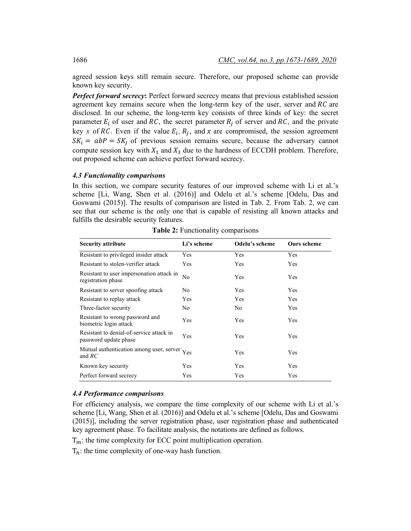agreed session keys still remain secure. Therefore, our proposed scheme can provide known key security.

**Perfect forward secrecy:** Perfect forward secrecy means that previous established session agreement key remains secure when the long-term key of the user, server and  $RC$  are disclosed. In our scheme, the long-term key consists of three kinds of key: the secret parameter  $E_i$  of user and RC, the secret parameter  $R_i$  of server and RC, and the private key x of RC. Even if the value  $E_i$ ,  $R_i$ , and x are compromised, the session agreement  $SK_i = abP = SK_j$  of previous session remains secure, because the adversary cannot compute session key with  $X_1$  and  $X_3$  due to the hardness of ECCDH problem. Therefore, out proposed scheme can achieve perfect forward secrecy.

# *4.3 Functionality comparisons*

In this section, we compare security features of our improved scheme with Li et al.'s scheme [Li, Wang, Shen et al. (2016)] and Odelu et al.'s scheme [Odelu, Das and Goswami (2015)]. The results of comparison are listed in Tab. 2. From Tab. 2, we can see that our scheme is the only one that is capable of resisting all known attacks and fulfills the desirable security features.

| <b>Security attribute</b>                                         | Li's scheme    | Odelu's scheme | <b>Ours scheme</b> |
|-------------------------------------------------------------------|----------------|----------------|--------------------|
| Resistant to privileged insider attack                            | Yes            | Yes            | Yes                |
| Resistant to stolen-verifier attack                               | Yes            | Yes            | Yes                |
| Resistant to user impersonation attack in<br>registration phase   | N <sub>0</sub> | Yes            | Yes                |
| Resistant to server spoofing attack                               | N <sub>0</sub> | Yes            | Yes                |
| Resistant to replay attack                                        | Yes            | Yes            | Yes                |
| Three-factor security                                             | N <sub>0</sub> | No.            | Yes                |
| Resistant to wrong password and<br>biometric login attack         | Yes            | Yes            | Yes                |
| Resistant to denial-of-service attack in<br>password update phase | Yes            | Yes            | Yes                |
| Mutual authentication among user, server<br>and $RC$              | Yes            | <b>Yes</b>     | Yes                |
| Known key security                                                | Yes            | Yes            | Yes                |
| Perfect forward secrecy                                           | <b>Yes</b>     | Yes            | Yes                |

**Table 2:** Functionality comparisons

### *4.4 Performance comparisons*

For efficiency analysis, we compare the time complexity of our scheme with Li et al.'s scheme [Li, Wang, Shen et al. (2016)] and Odelu et al.'s scheme [Odelu, Das and Goswami (2015)], including the server registration phase, user registration phase and authenticated key agreement phase. To facilitate analysis, the notations are defined as follows.

 $T_m$ : the time complexity for ECC point multiplication operation.

 $T_h$ : the time complexity of one-way hash function.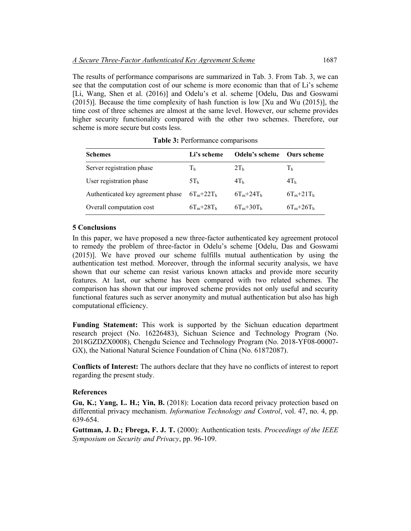The results of performance comparisons are summarized in Tab. 3. From Tab. 3, we can see that the computation cost of our scheme is more economic than that of Li's scheme [Li, Wang, Shen et al. (2016)] and Odelu's et al. scheme [Odelu, Das and Goswami (2015)]. Because the time complexity of hash function is low [Xu and Wu (2015)], the time cost of three schemes are almost at the same level. However, our scheme provides higher security functionality compared with the other two schemes. Therefore, our scheme is more secure but costs less.

| <b>Schemes</b>                    | Li's scheme     | Odelu's scheme  | – Ours scheme   |
|-----------------------------------|-----------------|-----------------|-----------------|
| Server registration phase         | Th              | 2T <sub>h</sub> | Th              |
| User registration phase           | 5T <sub>h</sub> | 4T <sub>h</sub> | 4T <sub>h</sub> |
| Authenticated key agreement phase | $6T_m + 22T_h$  | $6T_m + 24T_h$  | $6T_m + 21T_h$  |
| Overall computation cost          | $6T_m + 28T_h$  | $6T_m + 30T_h$  | $6T_m + 26T_h$  |

**Table 3:** Performance comparisons

# **5 Conclusions**

In this paper, we have proposed a new three-factor authenticated key agreement protocol to remedy the problem of three-factor in Odelu's scheme [Odelu, Das and Goswami (2015)]. We have proved our scheme fulfills mutual authentication by using the authentication test method. Moreover, through the informal security analysis, we have shown that our scheme can resist various known attacks and provide more security features. At last, our scheme has been compared with two related schemes. The comparison has shown that our improved scheme provides not only useful and security functional features such as server anonymity and mutual authentication but also has high computational efficiency.

**Funding Statement:** This work is supported by the Sichuan education department research project (No. 16226483), Sichuan Science and Technology Program (No. 2018GZDZX0008), Chengdu Science and Technology Program (No. 2018-YF08-00007- GX), the National Natural Science Foundation of China (No. 61872087).

**Conflicts of Interest:** The authors declare that they have no conflicts of interest to report regarding the present study.

# **References**

**Gu, K.; Yang, L. H.; Yin, B.** (2018): Location data record privacy protection based on differential privacy mechanism. *Information Technology and Control*, vol. 47, no. 4, pp. 639-654.

**Guttman, J. D.; Fbrega, F. J. T.** (2000): Authentication tests. *Proceedings of the IEEE Symposium on Security and Privacy*, pp. 96-109.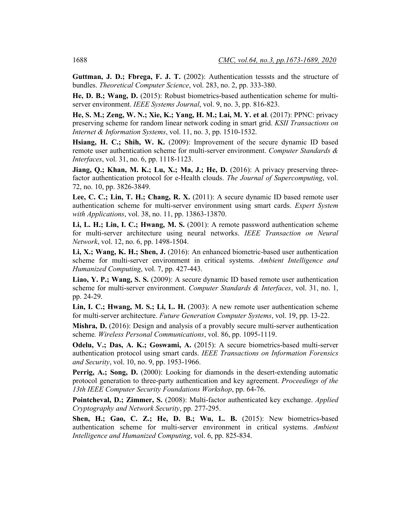**Guttman, J. D.; Fbrega, F. J. T.** (2002): Authentication tesssts and the structure of bundles. *Theoretical Computer Science*, vol. 283, no. 2, pp. 333-380.

**He, D. B.; Wang, D.** (2015): Robust biometrics-based authentication scheme for multiserver environment. *IEEE Systems Journal*, vol. 9, no. 3, pp. 816-823.

**He, S. M.; Zeng, W. N.; Xie, K.; Yang, H. M.; Lai, M. Y. et al**. (2017): PPNC: privacy preserving scheme for random linear network coding in smart grid. *KSII Transactions on Internet & Information Systems*, vol. 11, no. 3, pp. 1510-1532.

**Hsiang, H. C.; Shih, W. K.** (2009): Improvement of the secure dynamic ID based remote user authentication scheme for multi-server environment. *Computer Standards & Interfaces*, vol. 31, no. 6, pp. 1118-1123.

**Jiang, Q.; Khan, M. K.; Lu, X.; Ma, J.; He, D.** (2016): A privacy preserving threefactor authentication protocol for e-Health clouds. *The Journal of Supercomputing*, vol. 72, no. 10, pp. 3826-3849.

**Lee, C. C.; Lin, T. H.; Chang, R. X.** (2011): A secure dynamic ID based remote user authentication scheme for multi-server environment using smart cards. *Expert System with Applications*, vol. 38, no. 11, pp. 13863-13870.

**Li, L. H.; Lin, I. C.; Hwang, M. S.** (2001): A remote password authentication scheme for multi-server architecture using neural networks. *IEEE Transaction on Neural Network*, vol. 12, no. 6, pp. 1498-1504.

**Li, X.; Wang, K. H.; Shen, J.** (2016): An enhanced biometric-based user authentication scheme for multi-server environment in critical systems. *Ambient Intelligence and Humanized Computing*, vol. 7, pp. 427-443.

**Liao, Y. P.; Wang, S. S.** (2009): A secure dynamic ID based remote user authentication scheme for multi-server environment. *Computer Standards & Interfaces*, vol. 31, no. 1, pp. 24-29.

**Lin, I. C.; Hwang, M. S.; Li, L. H.** (2003): A new remote user authentication scheme for multi-server architecture. *Future Generation Computer Systems*, vol. 19, pp. 13-22.

**Mishra, D.** (2016): Design and analysis of a provably secure multi-server authentication scheme*. Wireless Personal Communications*, vol. 86, pp. 1095-1119.

**Odelu, V.; Das, A. K.; Goswami, A.** (2015): A secure biometrics-based multi-server authentication protocol using smart cards. *IEEE Transactions on Information Forensics and Security*, vol. 10, no. 9, pp. 1953-1966.

Perrig, A.; Song, D. (2000): Looking for diamonds in the desert-extending automatic protocol generation to three-party authentication and key agreement. *Proceedings of the 13th IEEE Computer Security Foundations Workshop*, pp. 64-76.

**Pointcheval, D.; Zimmer, S.** (2008): Multi-factor authenticated key exchange. *Applied Cryptography and Network Security*, pp. 277-295.

**Shen, H.; Gao, C. Z.; He, D. B.; Wu, L. B.** (2015): New biometrics-based authentication scheme for multi-server environment in critical systems. *Ambient Intelligence and Humanized Computing*, vol. 6, pp. 825-834.